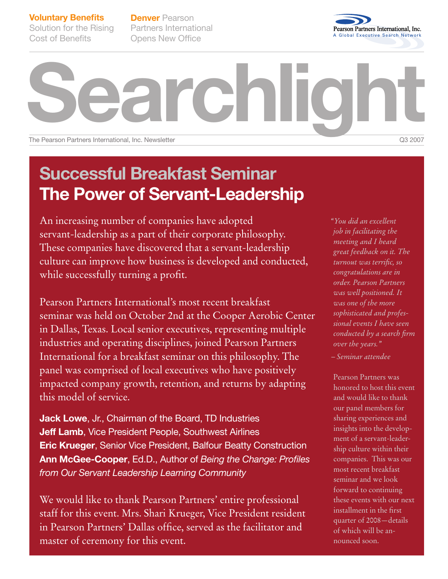**Voluntary Benefits** Solution for the Rising

Cost of Benefits

**Denver** Pearson Partners International Opens New Office



**Searchlight** The Pearson Partners International, Inc. Newsletter **COM** 2007 **COM** 2007 **COM** 2007

## **Successful Breakfast Seminar The Power of Servant-Leadership**

An increasing number of companies have adopted servant-leadership as a part of their corporate philosophy. These companies have discovered that a servant-leadership culture can improve how business is developed and conducted, while successfully turning a profit.

Pearson Partners International's most recent breakfast seminar was held on October 2nd at the Cooper Aerobic Center in Dallas, Texas. Local senior executives, representing multiple industries and operating disciplines, joined Pearson Partners International for a breakfast seminar on this philosophy. The panel was comprised of local executives who have positively impacted company growth, retention, and returns by adapting this model of service.

**Jack Lowe**, Jr., Chairman of the Board, TD Industries **Jeff Lamb**, Vice President People, Southwest Airlines **Eric Krueger**, Senior Vice President, Balfour Beatty Construction **Ann McGee-Cooper**, Ed.D., Author of *Being the Change: Profiles from Our Servant Leadership Learning Community*

We would like to thank Pearson Partners' entire professional staff for this event. Mrs. Shari Krueger, Vice President resident in Pearson Partners' Dallas office, served as the facilitator and master of ceremony for this event.

*"You did an excellent job in facilitating the meeting and I heard great feedback on it. The turnout was terrific, so congratulations are in order. Pearson Partners was well positioned. It was one of the more sophisticated and professional events I have seen conducted by a search firm over the years." – Seminar attendee*

Pearson Partners was

honored to host this event and would like to thank our panel members for sharing experiences and insights into the development of a servant-leadership culture within their companies. This was our most recent breakfast seminar and we look forward to continuing these events with our next installment in the first quarter of 2008—details of which will be announced soon.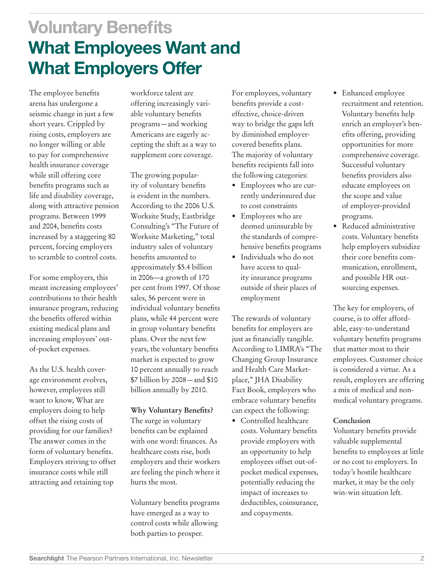**Voluntary Benefits What Employees Want and What Employers Offer**

The employee benefits arena has undergone a seismic change in just a few short years. Crippled by rising costs, employers are no longer willing or able to pay for comprehensive health insurance coverage while still offering core benefits programs such as life and disability coverage, along with attractive pension programs. Between 1999 and 2004, benefits costs increased by a staggering 80 percent, forcing employers to scramble to control costs.

For some employers, this meant increasing employees' contributions to their health insurance program, reducing the benefits offered within existing medical plans and increasing employees' outof-pocket expenses.

As the U.S. health coverage environment evolves, however, employees still want to know, What are employers doing to help offset the rising costs of providing for our families? The answer comes in the form of voluntary benefits. Employers striving to offset insurance costs while still attracting and retaining top

workforce talent are offering increasingly variable voluntary benefits programs—and working Americans are eagerly accepting the shift as a way to supplement core coverage.

The growing popularity of voluntary benefits is evident in the numbers. According to the 2006 U.S. Worksite Study, Eastbridge Consulting's "The Future of Worksite Marketing," total industry sales of voluntary benefits amounted to approximately \$5.4 billion in 2006––a growth of 170 per cent from 1997. Of those sales, 56 percent were in individual voluntary benefits plans, while 44 percent were in group voluntary benefits plans. Over the next few years, the voluntary benefits market is expected to grow 10 percent annually to reach \$7 billion by 2008—and \$10 billion annually by 2010.

## **Why Voluntary Benefits?**

The surge in voluntary benefits can be explained with one word: finances. As healthcare costs rise, both employers and their workers are feeling the pinch where it hurts the most.

Voluntary benefits programs have emerged as a way to control costs while allowing both parties to prosper.

For employees, voluntary benefits provide a costeffective, choice-driven way to bridge the gaps left by diminished employercovered benefits plans. The majority of voluntary benefits recipients fall into the following categories:

- Employees who are currently underinsured due to cost constraints
- • Employees who are deemed uninsurable by the standards of comprehensive benefits programs
- • Individuals who do not have access to quality insurance programs outside of their places of employment

The rewards of voluntary benefits for employers are just as financially tangible. According to LIMRA's "The Changing Group Insurance and Health Care Marketplace," JHA Disability Fact Book, employers who embrace voluntary benefits can expect the following:

• Controlled healthcare costs. Voluntary benefits provide employers with an opportunity to help employees offset out-ofpocket medical expenses, potentially reducing the impact of increases to deductibles, coinsurance, and copayments.

- Enhanced employee recruitment and retention. Voluntary benefits help enrich an employer's benefits offering, providing opportunities for more comprehensive coverage. Successful voluntary benefits providers also educate employees on the scope and value of employer-provided programs.
- • Reduced administrative costs. Voluntary benefits help employers subsidize their core benefits communication, enrollment, and possible HR outsourcing expenses.

The key for employers, of course, is to offer affordable, easy-to-understand voluntary benefits programs that matter most to their employees. Customer choice is considered a virtue. As a result, employers are offering a mix of medical and nonmedical voluntary programs.

### **Conclusion**

Voluntary benefits provide valuable supplemental benefits to employees at little or no cost to employers. In today's hostile healthcare market, it may be the only win-win situation left.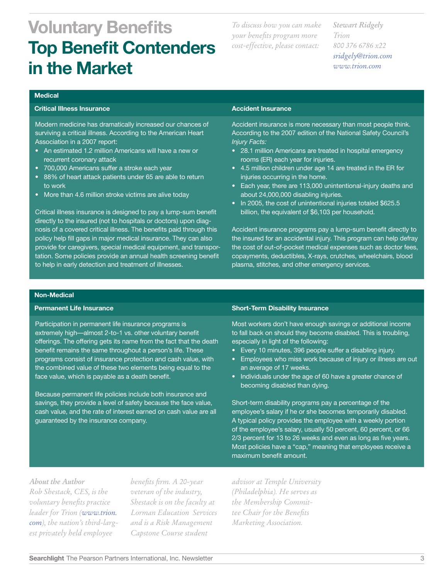# **Voluntary Benefits Top Benefit Contenders in the Market**

*To discuss how you can make your benefits program more cost-effective, please contact:*

*Stewart Ridgely Trion 800 376 6786 x22 [sridgely@trion.com](mailto:sridgely@trion.com) www.trion.com*

#### **Medical**

### **Critical Illness Insurance**

Modern medicine has dramatically increased our chances of surviving a critical illness. According to the American Heart Association in a 2007 report:

- An estimated 1.2 million Americans will have a new or recurrent coronary attack
- • 700,000 Americans suffer a stroke each year
- 88% of heart attack patients under 65 are able to return to work
- More than 4.6 million stroke victims are alive today

Critical illness insurance is designed to pay a lump-sum benefit directly to the insured (not to hospitals or doctors) upon diagnosis of a covered critical illness. The benefits paid through this policy help fill gaps in major medical insurance. They can also provide for caregivers, special medical equipment, and transportation. Some policies provide an annual health screening benefit to help in early detection and treatment of illnesses.

#### **Accident Insurance**

Accident insurance is more necessary than most people think. According to the 2007 edition of the National Safety Council's *Injury Facts:*

- 28.1 million Americans are treated in hospital emergency rooms (ER) each year for injuries.
- 4.5 million children under age 14 are treated in the ER for injuries occurring in the home.
- Each year, there are 113,000 unintentional-injury deaths and about 24,000,000 disabling injuries.
- In 2005, the cost of unintentional injuries totaled \$625.5 billion, the equivalent of \$6,103 per household.

Accident insurance programs pay a lump-sum benefit directly to the insured for an accidental injury. This program can help defray the cost of out-of-pocket medical expenses such as doctor fees, copayments, deductibles, X-rays, crutches, wheelchairs, blood plasma, stitches, and other emergency services.

#### **Non-Medical**

#### **Permanent Life Insurance**

Participation in permanent life insurance programs is extremely high—almost 2-to-1 vs. other voluntary benefit offerings. The offering gets its name from the fact that the death benefit remains the same throughout a person's life. These programs consist of insurance protection and cash value, with the combined value of these two elements being equal to the face value, which is payable as a death benefit.

Because permanent life policies include both insurance and savings, they provide a level of safety because the face value, cash value, and the rate of interest earned on cash value are all guaranteed by the insurance company.

#### **Short-Term Disability Insurance**

Most workers don't have enough savings or additional income to fall back on should they become disabled. This is troubling, especially in light of the following:

- Every 10 minutes, 396 people suffer a disabling injury.
- Employees who miss work because of injury or illness are out an average of 17 weeks.
- Individuals under the age of 60 have a greater chance of becoming disabled than dying.

Short-term disability programs pay a percentage of the employee's salary if he or she becomes temporarily disabled. A typical policy provides the employee with a weekly portion of the employee's salary, usually 50 percent, 60 percent, or 66 2/3 percent for 13 to 26 weeks and even as long as five years. Most policies have a "cap," meaning that employees receive a maximum benefit amount.

*About the Author Rob Shestack, CES, is the voluntary benefits practice leader for Trion ([www.trion.](http://www.trion.com) [com](http://www.trion.com)), the nation's third-largest privately held employee* 

*benefits firm. A 20-year veteran of the industry, Shestack is on the faculty at Lorman Education Services and is a Risk Management Capstone Course student* 

*advisor at Temple University (Philadelphia). He serves as the Membership Committee Chair for the Benefits Marketing Association.*